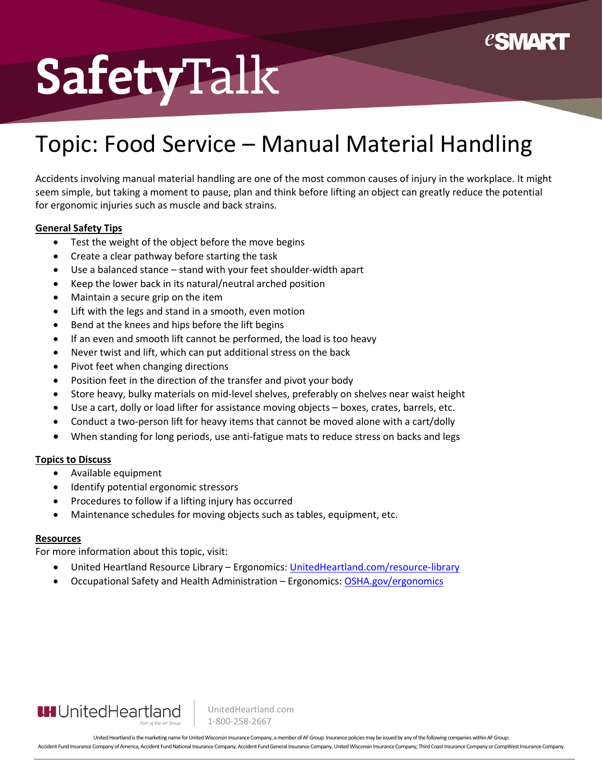

## SafetyTalk

### Topic: Food Service – Manual Material Handling

Accidents involving manual material handling are one of the most common causes of injury in the workplace. It might seem simple, but taking a moment to pause, plan and think before lifting an object can greatly reduce the potential for ergonomic injuries such as muscle and back strains.

#### **General Safety Tips**

- Test the weight of the object before the move begins
- Create a clear pathway before starting the task
- Use a balanced stance stand with your feet shoulder-width apart
- Keep the lower back in its natural/neutral arched position
- Maintain a secure grip on the item
- Lift with the legs and stand in a smooth, even motion
- Bend at the knees and hips before the lift begins
- If an even and smooth lift cannot be performed, the load is too heavy
- Never twist and lift, which can put additional stress on the back
- Pivot feet when changing directions
- Position feet in the direction of the transfer and pivot your body
- Store heavy, bulky materials on mid-level shelves, preferably on shelves near waist height
- Use a cart, dolly or load lifter for assistance moving objects boxes, crates, barrels, etc.
- Conduct a two-person lift for heavy items that cannot be moved alone with a cart/dolly
- When standing for long periods, use anti-fatigue mats to reduce stress on backs and legs

#### **Topics to Discuss**

- Available equipment
- Identify potential ergonomic stressors
- Procedures to follow if a lifting injury has occurred
- Maintenance schedules for moving objects such as tables, equipment, etc.

#### **Resources**

For more information about this topic, visit:

- United Heartland Resource Library Ergonomics: [UnitedHeartland.com/resource-library](https://www.unitedheartland.com/resource-library/?topic=ergonomics)
- Occupational Safety and Health Administration Ergonomics[: OSHA.gov/](https://www.osha.gov/ergonomics)ergonomics



UnitedHeartland.com 1-800-258-2667

United Heartland is the marketing name for United Wisconsin Insurance Company, a member of AF Group. Insurance policies may be issued by any of the following companies within AF Group: Accident Fund Insurance Company of America, Accident Fund National Insurance Company, Accident Fund General Insurance Company, Inded Wisconsin Insurance Company, Third Coast Insurance Company or CompWest Insurance Company.